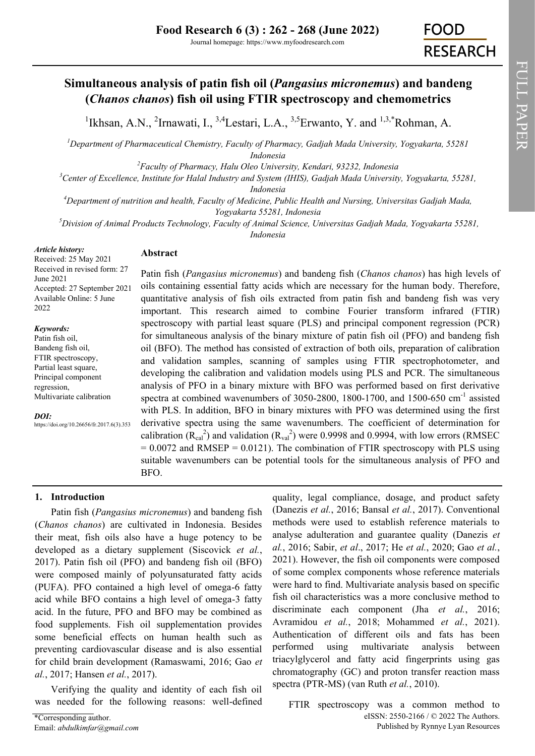## **Simultaneous analysis of patin fish oil (***Pangasius micronemus***) and bandeng (***Chanos chanos***) fish oil using FTIR spectroscopy and chemometrics**

<sup>1</sup>Ikhsan, A.N., <sup>2</sup>Irnawati, I., <sup>3,4</sup>Lestari, L.A., <sup>3,5</sup>Erwanto, Y. and <sup>1,3,\*</sup>Rohman, A.

*<sup>1</sup>Department of Pharmaceutical Chemistry, Faculty of Pharmacy, Gadjah Mada University, Yogyakarta, 55281 Indonesia*

*<sup>2</sup>Faculty of Pharmacy, Halu Oleo University, Kendari, 93232, Indonesia*

*<sup>3</sup>Center of Excellence, Institute for Halal Industry and System (IHIS), Gadjah Mada University, Yogyakarta, 55281,* 

*Indonesia*

*<sup>4</sup>Department of nutrition and health, Faculty of Medicine, Public Health and Nursing, Universitas Gadjah Mada, Yogyakarta 55281, Indonesia* 

*<sup>5</sup>Division of Animal Products Technology, Faculty of Animal Science, Universitas Gadjah Mada, Yogyakarta 55281, Indonesia* 

*Article history:*

## **Abstract**

Received: 25 May 2021 Received in revised form: 27 June 2021 Accepted: 27 September 2021 Available Online: 5 June 2022

#### *Keywords:*

Patin fish oil, Bandeng fish oil, FTIR spectroscopy, Partial least square, Principal component regression, Multivariate calibration

*DOI:*

https://doi.org/10.26656/fr.2017.6(3).353

# Patin fish (*Pangasius micronemus*) and bandeng fish (*Chanos chanos*) has high levels of

oils containing essential fatty acids which are necessary for the human body. Therefore, quantitative analysis of fish oils extracted from patin fish and bandeng fish was very important. This research aimed to combine Fourier transform infrared (FTIR) spectroscopy with partial least square (PLS) and principal component regression (PCR) for simultaneous analysis of the binary mixture of patin fish oil (PFO) and bandeng fish oil (BFO). The method has consisted of extraction of both oils, preparation of calibration and validation samples, scanning of samples using FTIR spectrophotometer, and developing the calibration and validation models using PLS and PCR. The simultaneous analysis of PFO in a binary mixture with BFO was performed based on first derivative spectra at combined wavenumbers of 3050-2800, 1800-1700, and 1500-650 cm<sup>-1</sup> assisted with PLS. In addition, BFO in binary mixtures with PFO was determined using the first derivative spectra using the same wavenumbers. The coefficient of determination for calibration  $(R_{cal}^2)$  and validation  $(R_{val}^2)$  were 0.9998 and 0.9994, with low errors (RMSEC  $= 0.0072$  and RMSEP = 0.0121). The combination of FTIR spectroscopy with PLS using suitable wavenumbers can be potential tools for the simultaneous analysis of PFO and BFO.

## **1. Introduction**

Patin fish (*Pangasius micronemus*) and bandeng fish (*Chanos chanos*) are cultivated in Indonesia. Besides their meat, fish oils also have a huge potency to be developed as a dietary supplement (Siscovick *et al.*, 2017). Patin fish oil (PFO) and bandeng fish oil (BFO) were composed mainly of polyunsaturated fatty acids (PUFA). PFO contained a high level of omega-6 fatty acid while BFO contains a high level of omega-3 fatty acid. In the future, PFO and BFO may be combined as food supplements. Fish oil supplementation provides some beneficial effects on human health such as preventing cardiovascular disease and is also essential for child brain development (Ramaswami, 2016; Gao *et al.*, 2017; Hansen *et al.*, 2017).

Verifying the quality and identity of each fish oil was needed for the following reasons: well-defined

quality, legal compliance, dosage, and product safety (Danezis *et al.*, 2016; Bansal *et al.*, 2017). Conventional methods were used to establish reference materials to analyse adulteration and guarantee quality (Danezis *et al.*, 2016; Sabir, *et al*., 2017; He *et al.*, 2020; Gao *et al.*, 2021). However, the fish oil components were composed of some complex components whose reference materials were hard to find. Multivariate analysis based on specific fish oil characteristics was a more conclusive method to discriminate each component (Jha *et al.*, 2016; Avramidou *et al.*, 2018; Mohammed *et al.*, 2021). Authentication of different oils and fats has been performed using multivariate analysis between triacylglycerol and fatty acid fingerprints using gas chromatography (GC) and proton transfer reaction mass spectra (PTR-MS) (van Ruth *et al.*, 2010).

eISSN: 2550-2166 / © 2022 The Authors. Published by Rynnye Lyan Resources FTIR spectroscopy was a common method to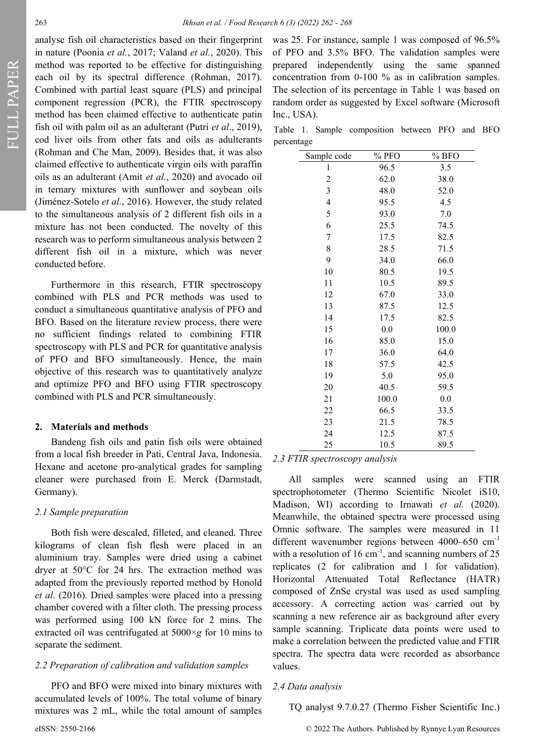analyse fish oil characteristics based on their fingerprint in nature (Poonia *et al.*, 2017; Valand *et al.*, 2020). This method was reported to be effective for distinguishing each oil by its spectral difference (Rohman, 2017). Combined with partial least square (PLS) and principal component regression (PCR), the FTIR spectroscopy method has been claimed effective to authenticate patin fish oil with palm oil as an adulterant (Putri *et al*., 2019), cod liver oils from other fats and oils as adulterants (Rohman and Che Man, 2009). Besides that, it was also claimed effective to authenticate virgin oils with paraffin oils as an adulterant (Amit *et al.*, 2020) and avocado oil in ternary mixtures with sunflower and soybean oils (Jiménez-Sotelo *et al.*, 2016). However, the study related to the simultaneous analysis of 2 different fish oils in a mixture has not been conducted. The novelty of this research was to perform simultaneous analysis between 2 different fish oil in a mixture, which was never conducted before.

Furthermore in this research, FTIR spectroscopy combined with PLS and PCR methods was used to conduct a simultaneous quantitative analysis of PFO and BFO. Based on the literature review process, there were no sufficient findings related to combining FTIR spectroscopy with PLS and PCR for quantitative analysis of PFO and BFO simultaneously. Hence, the main objective of this research was to quantitatively analyze and optimize PFO and BFO using FTIR spectroscopy combined with PLS and PCR simultaneously.

#### **2. Materials and methods**

Bandeng fish oils and patin fish oils were obtained from a local fish breeder in Pati, Central Java, Indonesia. Hexane and acetone pro-analytical grades for sampling cleaner were purchased from E. Merck (Darmstadt, Germany).

#### *2.1 Sample preparation*

Both fish were descaled, filleted, and cleaned. Three kilograms of clean fish flesh were placed in an aluminium tray. Samples were dried using a cabinet dryer at 50°C for 24 hrs. The extraction method was adapted from the previously reported method by Honold *et al*. (2016). Dried samples were placed into a pressing chamber covered with a filter cloth. The pressing process was performed using 100 kN force for 2 mins. The extracted oil was centrifugated at 5000×*g* for 10 mins to separate the sediment.

#### *2.2 Preparation of calibration and validation samples*

PFO and BFO were mixed into binary mixtures with accumulated levels of 100%. The total volume of binary mixtures was 2 mL, while the total amount of samples

was 25. For instance, sample 1 was composed of 96.5% of PFO and 3.5% BFO. The validation samples were prepared independently using the same spanned concentration from 0-100 % as in calibration samples. The selection of its percentage in Table 1 was based on random order as suggested by Excel software (Microsoft Inc., USA).

Table 1. Sample composition between PFO and BFO percentage

| Sample code              | % PFO | % BFO |
|--------------------------|-------|-------|
| 1                        | 96.5  | 3.5   |
| $\overline{c}$           | 62.0  | 38.0  |
| 3                        | 48.0  | 52.0  |
| $\overline{\mathcal{L}}$ | 95.5  | 4.5   |
| 5                        | 93.0  | 7.0   |
| 6                        | 25.5  | 74.5  |
| 7                        | 17.5  | 82.5  |
| 8                        | 28.5  | 71.5  |
| 9                        | 34.0  | 66.0  |
| 10                       | 80.5  | 19.5  |
| 11                       | 10.5  | 89.5  |
| 12                       | 67.0  | 33.0  |
| 13                       | 87.5  | 12.5  |
| 14                       | 17.5  | 82.5  |
| 15                       | 0.0   | 100.0 |
| 16                       | 85.0  | 15.0  |
| 17                       | 36.0  | 64.0  |
| 18                       | 57.5  | 42.5  |
| 19                       | 5.0   | 95.0  |
| 20                       | 40.5  | 59.5  |
| 21                       | 100.0 | 0.0   |
| 22                       | 66.5  | 33.5  |
| 23                       | 21.5  | 78.5  |
| 24                       | 12.5  | 87.5  |
| 25                       | 10.5  | 89.5  |

#### *2.3 FTIR spectroscopy analysis*

All samples were scanned using an FTIR spectrophotometer (Thermo Scientific Nicolet iS10, Madison, WI) according to Irnawati *et al.* (2020). Meanwhile, the obtained spectra were processed using Omnic software. The samples were measured in 11 different wavenumber regions between 4000–650 cm<sup>-1</sup> with a resolution of  $16 \text{ cm}^{-1}$ , and scanning numbers of  $25$ replicates (2 for calibration and 1 for validation). Horizontal Attenuated Total Reflectance (HATR) composed of ZnSe crystal was used as used sampling accessory. A correcting action was carried out by scanning a new reference air as background after every sample scanning. Triplicate data points were used to make a correlation between the predicted value and FTIR spectra. The spectra data were recorded as absorbance values.

#### *2.4 Data analysis*

TQ analyst 9.7.0.27 (Thermo Fisher Scientific Inc.)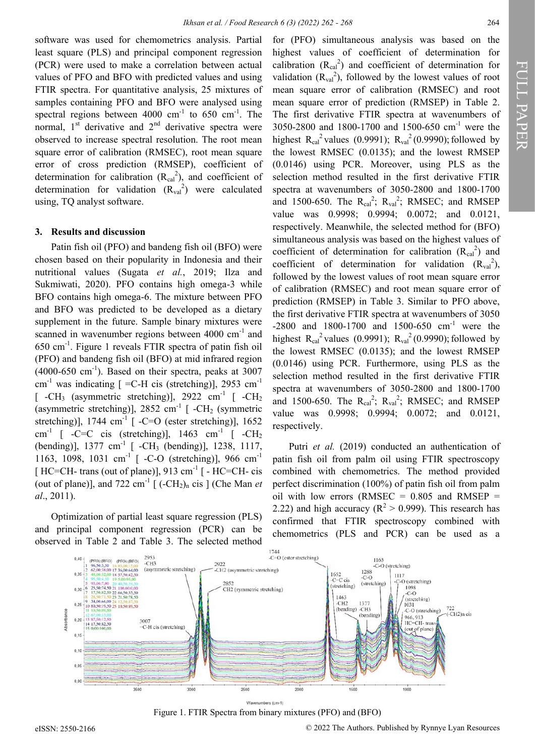FULL PAPER

FULL PAPER

software was used for chemometrics analysis. Partial least square (PLS) and principal component regression (PCR) were used to make a correlation between actual values of PFO and BFO with predicted values and using FTIR spectra. For quantitative analysis, 25 mixtures of samples containing PFO and BFO were analysed using spectral regions between  $4000 \text{ cm}^{-1}$  to  $650 \text{ cm}^{-1}$ . The normal,  $1<sup>st</sup>$  derivative and  $2<sup>nd</sup>$  derivative spectra were observed to increase spectral resolution. The root mean square error of calibration (RMSEC), root mean square error of cross prediction (RMSEP), coefficient of determination for calibration  $(R_{cal}^2)$ , and coefficient of determination for validation  $(R_{val}^2)$  were calculated using, TQ analyst software.

#### **3. Results and discussion**

Patin fish oil (PFO) and bandeng fish oil (BFO) were chosen based on their popularity in Indonesia and their nutritional values (Sugata *et al.*, 2019; Ilza and Sukmiwati, 2020). PFO contains high omega-3 while BFO contains high omega-6. The mixture between PFO and BFO was predicted to be developed as a dietary supplement in the future. Sample binary mixtures were scanned in wavenumber regions between  $4000 \text{ cm}^{-1}$  and 650 cm-<sup>1</sup> . Figure 1 reveals FTIR spectra of patin fish oil (PFO) and bandeng fish oil (BFO) at mid infrared region  $(4000-650 \text{ cm}^{-1})$ . Based on their spectra, peaks at 3007 cm<sup>-1</sup> was indicating  $[$  =C-H cis (stretching)], 2953 cm<sup>-1</sup>  $[-CH_3$  (asymmetric stretching)], 2922 cm<sup>-1</sup>  $[-CH_2$ (asymmetric stretching)],  $2852 \text{ cm}^{-1}$  [ -CH<sub>2</sub> (symmetric stretching)],  $1744 \text{ cm}^{-1}$  [ -C=O (ester stretching)],  $1652$ cm<sup>-1</sup> [ -C=C cis (stretching)], 1463 cm<sup>-1</sup> [ -CH<sub>2</sub> (bending)], 1377 cm<sup>-1</sup> [ -CH<sub>3</sub> (bending)], 1238, 1117, 1163, 1098, 1031 cm<sup>-1</sup> [ -C-O (stretching)], 966 cm<sup>-1</sup> [HC=CH- trans (out of plane)],  $913 \text{ cm}^{-1}$  [ - HC=CH- cis (out of plane)], and  $722 \text{ cm}^{-1}$  [  $(-CH_2)$ <sub>n</sub> cis ] (Che Man *et al*., 2011).

Optimization of partial least square regression (PLS) and principal component regression (PCR) can be observed in Table 2 and Table 3. The selected method for (PFO) simultaneous analysis was based on the highest values of coefficient of determination for calibration  $(R_{cal}^2)$  and coefficient of determination for validation  $(R_{val}^2)$ , followed by the lowest values of root mean square error of calibration (RMSEC) and root mean square error of prediction (RMSEP) in Table 2. The first derivative FTIR spectra at wavenumbers of 3050-2800 and 1800-1700 and 1500-650 cm-<sup>1</sup> were the highest  $R_{cal}^2$ <sup>2</sup> values (0.9991);  $R_{val}^2$  (0.9990); followed by the lowest RMSEC (0.0135); and the lowest RMSEP (0.0146) using PCR. Moreover, using PLS as the selection method resulted in the first derivative FTIR spectra at wavenumbers of 3050-2800 and 1800-1700 and 1500-650. The  $R_{cal}^2$ ;  $R_{val}^2$ ; RMSEC; and RMSEP value was 0.9998; 0.9994; 0.0072; and 0.0121, respectively. Meanwhile, the selected method for (BFO) simultaneous analysis was based on the highest values of coefficient of determination for calibration  $(R_{cal}^2)$  and coefficient of determination for validation  $(R_{val}^2)$ , followed by the lowest values of root mean square error of calibration (RMSEC) and root mean square error of prediction (RMSEP) in Table 3. Similar to PFO above, the first derivative FTIR spectra at wavenumbers of 3050 -2800 and 1800-1700 and 1500-650  $cm^{-1}$  were the highest  $R_{cal}^2$  values (0.9991);  $R_{val}^2$  (0.9990); followed by the lowest RMSEC (0.0135); and the lowest RMSEP (0.0146) using PCR. Furthermore, using PLS as the selection method resulted in the first derivative FTIR spectra at wavenumbers of 3050-2800 and 1800-1700 and 1500-650. The  $R_{cal}^2$ ;  $R_{val}^2$ ; RMSEC; and RMSEP value was 0.9998; 0.9994; 0.0072; and 0.0121, respectively.

Putri *et al.* (2019) conducted an authentication of patin fish oil from palm oil using FTIR spectroscopy combined with chemometrics. The method provided perfect discrimination (100%) of patin fish oil from palm oil with low errors (RMSEC =  $0.805$  and RMSEP = 2.22) and high accuracy ( $\mathbb{R}^2 > 0.999$ ). This research has confirmed that FTIR spectroscopy combined with chemometrics (PLS and PCR) can be used as a



Figure 1. FTIR Spectra from binary mixtures (PFO) and (BFO)

eISSN: 2550-2166 © 2022 The Authors. Published by Rynnye Lyan Resources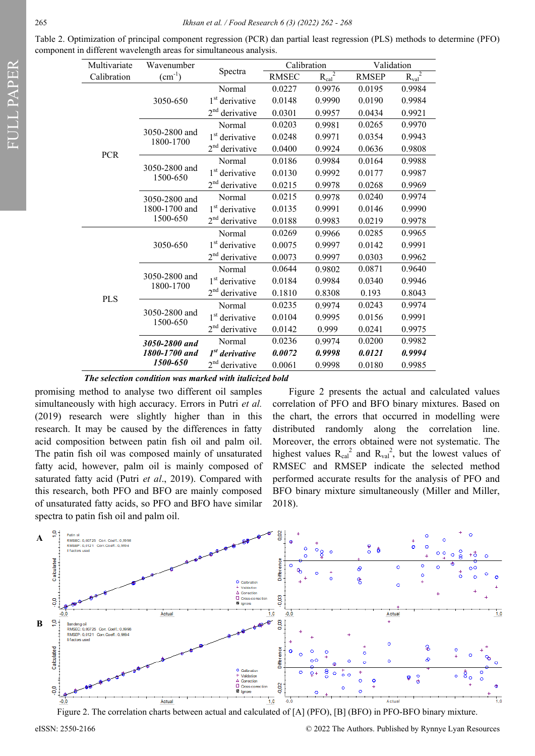| Table 2. Optimization of principal component regression (PCR) dan partial least regression (PLS) methods to determine (PFO) |  |  |  |  |  |
|-----------------------------------------------------------------------------------------------------------------------------|--|--|--|--|--|
| component in different wavelength areas for simultaneous analysis.                                                          |  |  |  |  |  |

| Multivariate | Wavenumber                                 |                               | Calibration  |             | Validation   |             |  |
|--------------|--------------------------------------------|-------------------------------|--------------|-------------|--------------|-------------|--|
| Calibration  | $(cm^{-1})$                                | Spectra<br>Normal             | <b>RMSEC</b> | $R_{cal}^2$ | <b>RMSEP</b> | $R_{val}^2$ |  |
|              | 3050-650                                   |                               | 0.0227       | 0.9976      | 0.0195       | 0.9984      |  |
|              |                                            | 1 <sup>st</sup> derivative    | 0.0148       | 0.9990      | 0.0190       | 0.9984      |  |
|              |                                            | 2 <sup>nd</sup><br>derivative | 0.0301       | 0.9957      | 0.0434       | 0.9921      |  |
|              |                                            | Normal                        | 0.0203       | 0.9981      | 0.0265       | 0.9970      |  |
|              | 3050-2800 and<br>1800-1700                 | 1 <sup>st</sup> derivative    | 0.0248       | 0.9971      | 0.0354       | 0.9943      |  |
| <b>PCR</b>   |                                            | $2nd$ derivative              | 0.0400       | 0.9924      | 0.0636       | 0.9808      |  |
|              |                                            | Normal                        | 0.0186       | 0.9984      | 0.0164       | 0.9988      |  |
|              | 3050-2800 and<br>1500-650                  | 1 <sup>st</sup> derivative    | 0.0130       | 0.9992      | 0.0177       | 0.9987      |  |
|              |                                            | 2 <sup>nd</sup><br>derivative | 0.0215       | 0.9978      | 0.0268       | 0.9969      |  |
|              | 3050-2800 and<br>1800-1700 and             | Normal                        | 0.0215       | 0.9978      | 0.0240       | 0.9974      |  |
|              |                                            | 1 <sup>st</sup> derivative    | 0.0135       | 0.9991      | 0.0146       | 0.9990      |  |
|              | 1500-650                                   | 2 <sup>nd</sup><br>derivative | 0.0188       | 0.9983      | 0.0219       | 0.9978      |  |
|              |                                            | Normal                        | 0.0269       | 0.9966      | 0.0285       | 0.9965      |  |
|              | 3050-650                                   | 1 <sup>st</sup> derivative    | 0.0075       | 0.9997      | 0.0142       | 0.9991      |  |
|              |                                            | 2 <sup>nd</sup><br>derivative | 0.0073       | 0.9997      | 0.0303       | 0.9962      |  |
|              | 3050-2800 and<br>1800-1700                 | Normal                        | 0.0644       | 0.9802      | 0.0871       | 0.9640      |  |
|              |                                            | 1 <sup>st</sup> derivative    | 0.0184       | 0.9984      | 0.0340       | 0.9946      |  |
| <b>PLS</b>   |                                            | 2 <sup>nd</sup><br>derivative | 0.1810       | 0.8308      | 0.193        | 0.8043      |  |
|              | 3050-2800 and<br>1500-650                  | Normal                        | 0.0235       | 0.9974      | 0.0243       | 0.9974      |  |
|              |                                            | 1 <sup>st</sup> derivative    | 0.0104       | 0.9995      | 0.0156       | 0.9991      |  |
|              |                                            | 2 <sup>nd</sup><br>derivative | 0.0142       | 0.999       | 0.0241       | 0.9975      |  |
|              | 3050-2800 and<br>1800-1700 and<br>1500-650 | Normal                        | 0.0236       | 0.9974      | 0.0200       | 0.9982      |  |
|              |                                            | $1st$ derivative              | 0.0072       | 0.9998      | 0.0121       | 0.9994      |  |
|              |                                            | 2 <sup>nd</sup><br>derivative | 0.0061       | 0.9998      | 0.0180       | 0.9985      |  |

*The selection condition was marked with italicized bold*

promising method to analyse two different oil samples simultaneously with high accuracy. Errors in Putri *et al.* (2019) research were slightly higher than in this research. It may be caused by the differences in fatty acid composition between patin fish oil and palm oil. The patin fish oil was composed mainly of unsaturated fatty acid, however, palm oil is mainly composed of saturated fatty acid (Putri *et al*., 2019). Compared with this research, both PFO and BFO are mainly composed of unsaturated fatty acids, so PFO and BFO have similar spectra to patin fish oil and palm oil.

Figure 2 presents the actual and calculated values correlation of PFO and BFO binary mixtures. Based on the chart, the errors that occurred in modelling were distributed randomly along the correlation line. Moreover, the errors obtained were not systematic. The highest values  $R_{cal}^2$  and  $R_{val}^2$ , but the lowest values of RMSEC and RMSEP indicate the selected method performed accurate results for the analysis of PFO and BFO binary mixture simultaneously (Miller and Miller, 2018).



Figure 2. The correlation charts between actual and calculated of [A] (PFO), [B] (BFO) in PFO-BFO binary mixture.

eISSN: 2550-2166 © 2022 The Authors. Published by Rynnye Lyan Resources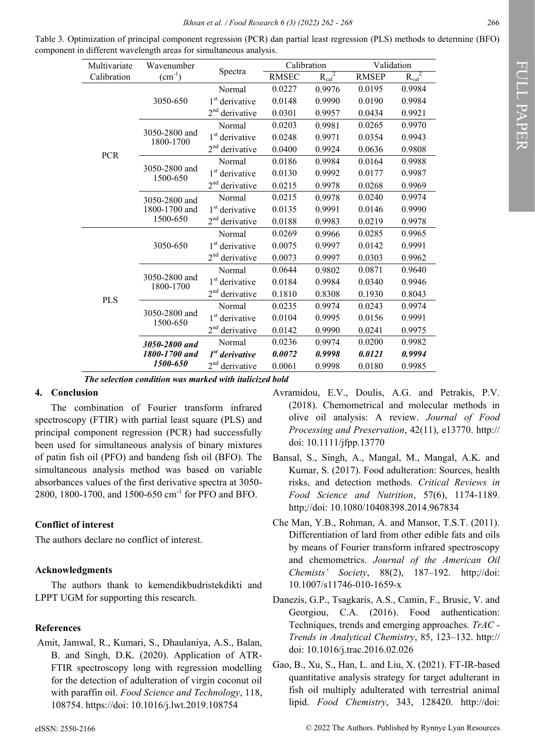| Multivariate | Wavenumber                                 |                               | Calibration  |             | Validation   |             |
|--------------|--------------------------------------------|-------------------------------|--------------|-------------|--------------|-------------|
| Calibration  | $\text{(cm}^{-1})$                         | Spectra                       | <b>RMSEC</b> | $R_{cal}^2$ | <b>RMSEP</b> | $R_{val}^2$ |
|              | 3050-650                                   | Normal                        | 0.0227       | 0.9976      | 0.0195       | 0.9984      |
|              |                                            | 1 <sup>st</sup> derivative    | 0.0148       | 0.9990      | 0.0190       | 0.9984      |
|              |                                            | $2nd$ derivative              | 0.0301       | 0.9957      | 0.0434       | 0.9921      |
|              | 3050-2800 and<br>1800-1700                 | Normal                        | 0.0203       | 0.9981      | 0.0265       | 0.9970      |
|              |                                            | $1st$ derivative              | 0.0248       | 0.9971      | 0.0354       | 0.9943      |
| <b>PCR</b>   |                                            | 2 <sup>nd</sup><br>derivative | 0.0400       | 0.9924      | 0.0636       | 0.9808      |
|              |                                            | Normal                        | 0.0186       | 0.9984      | 0.0164       | 0.9988      |
|              | 3050-2800 and<br>1500-650                  | $1st$ derivative              | 0.0130       | 0.9992      | 0.0177       | 0.9987      |
|              |                                            | 2 <sup>nd</sup><br>derivative | 0.0215       | 0.9978      | 0.0268       | 0.9969      |
|              | 3050-2800 and<br>1800-1700 and<br>1500-650 | Normal                        | 0.0215       | 0.9978      | 0.0240       | 0.9974      |
|              |                                            | 1 <sup>st</sup> derivative    | 0.0135       | 0.9991      | 0.0146       | 0.9990      |
|              |                                            | 2 <sup>nd</sup><br>derivative | 0.0188       | 0.9983      | 0.0219       | 0.9978      |
|              | 3050-650                                   | Normal                        | 0.0269       | 0.9966      | 0.0285       | 0.9965      |
|              |                                            | $1st$ derivative              | 0.0075       | 0.9997      | 0.0142       | 0.9991      |
|              |                                            | $2nd$ derivative              | 0.0073       | 0.9997      | 0.0303       | 0.9962      |
|              | 3050-2800 and<br>1800-1700                 | Normal                        | 0.0644       | 0.9802      | 0.0871       | 0.9640      |
|              |                                            | $1st$ derivative              | 0.0184       | 0.9984      | 0.0340       | 0.9946      |
| <b>PLS</b>   |                                            | 2 <sup>nd</sup><br>derivative | 0.1810       | 0.8308      | 0.1930       | 0.8043      |
|              | 3050-2800 and<br>1500-650                  | Normal                        | 0.0235       | 0.9974      | 0.0243       | 0.9974      |
|              |                                            | 1 <sup>st</sup> derivative    | 0.0104       | 0.9995      | 0.0156       | 0.9991      |
|              |                                            | 2 <sup>nd</sup><br>derivative | 0.0142       | 0.9990      | 0.0241       | 0.9975      |
|              | 3050-2800 and<br>1800-1700 and             | Normal                        | 0.0236       | 0.9974      | 0.0200       | 0.9982      |
|              |                                            | $1st$ derivative              | 0.0072       | 0.9998      | 0.0121       | 0.9994      |
|              | <i><b>1500-650</b></i>                     | 2 <sup>nd</sup><br>derivative | 0.0061       | 0.9998      | 0.0180       | 0.9985      |

Table 3. Optimization of principal component regression (PCR) dan partial least regression (PLS) methods to determine (BFO) component in different wavelength areas for simultaneous analysis.

*The selection condition was marked with italicized bold*

### **4. Conclusion**

The combination of Fourier transform infrared spectroscopy (FTIR) with partial least square (PLS) and principal component regression (PCR) had successfully been used for simultaneous analysis of binary mixtures of patin fish oil (PFO) and bandeng fish oil (BFO). The simultaneous analysis method was based on variable absorbances values of the first derivative spectra at 3050- 2800, 1800-1700, and 1500-650 cm-<sup>1</sup> for PFO and BFO.

## **Conflict of interest**

The authors declare no conflict of interest.

#### **Acknowledgments**

The authors thank to kemendikbudristekdikti and LPPT UGM for supporting this research.

#### **References**

Amit, Jamwal, R., Kumari, S., Dhaulaniya, A.S., Balan, B. and Singh, D.K. (2020). Application of ATR-FTIR spectroscopy long with regression modelling for the detection of adulteration of virgin coconut oil with paraffin oil. *Food Science and Technology*, 118, 108754. https://doi: 10.1016/j.lwt.2019.108754

- Avramidou, E.V., Doulis, A.G. and Petrakis, P.V. (2018). Chemometrical and molecular methods in olive oil analysis: A review. *Journal of Food Processing and Preservation*, 42(11), e13770. http:// doi: 10.1111/jfpp.13770
- Bansal, S., Singh, A., Mangal, M., Mangal, A.K. and Kumar, S. (2017). Food adulteration: Sources, health risks, and detection methods. *Critical Reviews in Food Science and Nutrition*, 57(6), 1174-1189. http;//doi: 10.1080/10408398.2014.967834
- Che Man, Y.B., Rohman, A. and Mansor, T.S.T. (2011). Differentiation of lard from other edible fats and oils by means of Fourier transform infrared spectroscopy and chemometrics. *Journal of the American Oil Chemists' Society*, 88(2), 187–192. http;//doi: 10.1007/s11746-010-1659-x
- Danezis, G.P., Tsagkaris, A.S., Camin, F., Brusic, V. and Georgiou, C.A. (2016). Food authentication: Techniques, trends and emerging approaches. *TrAC - Trends in Analytical Chemistry*, 85, 123–132. http:// doi: 10.1016/j.trac.2016.02.026
- Gao, B., Xu, S., Han, L. and Liu, X. (2021). FT-IR-based quantitative analysis strategy for target adulterant in fish oil multiply adulterated with terrestrial animal lipid. *Food Chemistry*, 343, 128420. http://doi: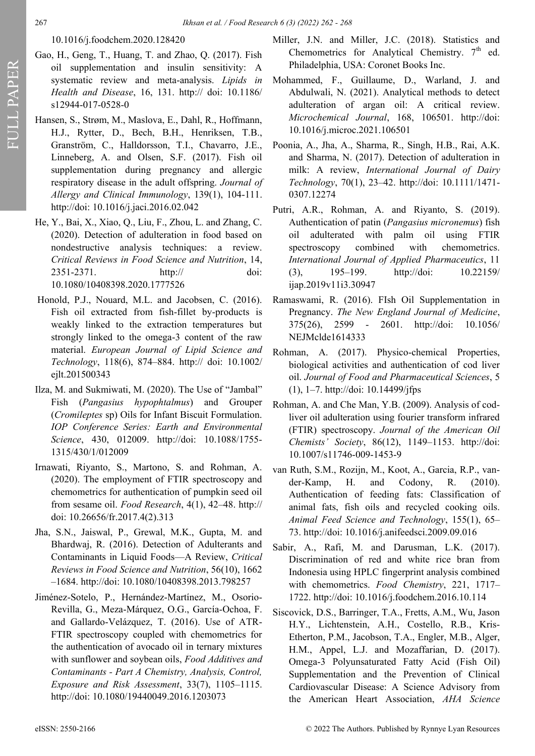## 10.1016/j.foodchem.2020.128420

- Gao, H., Geng, T., Huang, T. and Zhao, Q. (2017). Fish oil supplementation and insulin sensitivity: A systematic review and meta-analysis. *Lipids in Health and Disease*, 16, 131. http:// doi: 10.1186/ s12944-017-0528-0
- Hansen, S., Strøm, M., Maslova, E., Dahl, R., Hoffmann, H.J., Rytter, D., Bech, B.H., Henriksen, T.B., Granström, C., Halldorsson, T.I., Chavarro, J.E., Linneberg, A. and Olsen, S.F. (2017). Fish oil supplementation during pregnancy and allergic respiratory disease in the adult offspring. *Journal of Allergy and Clinical Immunology*, 139(1), 104-111. http://doi: 10.1016/j.jaci.2016.02.042
- He, Y., Bai, X., Xiao, Q., Liu, F., Zhou, L. and Zhang, C. (2020). Detection of adulteration in food based on nondestructive analysis techniques: a review. *Critical Reviews in Food Science and Nutrition*, 14, 2351-2371. http:// doi: 10.1080/10408398.2020.1777526
- Honold, P.J., Nouard, M.L. and Jacobsen, C. (2016). Fish oil extracted from fish-fillet by-products is weakly linked to the extraction temperatures but strongly linked to the omega-3 content of the raw material. *European Journal of Lipid Science and Technology*, 118(6), 874–884. http:// doi: 10.1002/ ejlt.201500343
- Ilza, M. and Sukmiwati, M. (2020). The Use of "Jambal" Fish (*Pangasius hypophtalmus*) and Grouper (*Cromileptes* sp) Oils for Infant Biscuit Formulation. *IOP Conference Series: Earth and Environmental Science*, 430, 012009. http://doi: 10.1088/1755- 1315/430/1/012009
- Irnawati, Riyanto, S., Martono, S. and Rohman, A. (2020). The employment of FTIR spectroscopy and chemometrics for authentication of pumpkin seed oil from sesame oil. *Food Research*, 4(1), 42–48. http:// doi: 10.26656/fr.2017.4(2).313
- Jha, S.N., Jaiswal, P., Grewal, M.K., Gupta, M. and Bhardwaj, R. (2016). Detection of Adulterants and Contaminants in Liquid Foods—A Review, *Critical Reviews in Food Science and Nutrition*, 56(10), 1662 –1684. http://doi: 10.1080/10408398.2013.798257
- Jiménez-Sotelo, P., Hernández-Martínez, M., Osorio-Revilla, G., Meza-Márquez, O.G., García-Ochoa, F. and Gallardo-Velázquez, T. (2016). Use of ATR-FTIR spectroscopy coupled with chemometrics for the authentication of avocado oil in ternary mixtures with sunflower and soybean oils, *Food Additives and Contaminants - Part A Chemistry, Analysis, Control, Exposure and Risk Assessment*, 33(7), 1105–1115. http://doi: 10.1080/19440049.2016.1203073
- Miller, J.N. and Miller, J.C. (2018). Statistics and Chemometrics for Analytical Chemistry.  $7<sup>th</sup>$  ed. Philadelphia, USA: Coronet Books Inc.
- Mohammed, F., Guillaume, D., Warland, J. and Abdulwali, N. (2021). Analytical methods to detect adulteration of argan oil: A critical review. *Microchemical Journal*, 168, 106501. http://doi: 10.1016/j.microc.2021.106501
- Poonia, A., Jha, A., Sharma, R., Singh, H.B., Rai, A.K. and Sharma, N. (2017). Detection of adulteration in milk: A review, *International Journal of Dairy Technology*, 70(1), 23–42. http://doi: 10.1111/1471- 0307.12274
- Putri, A.R., Rohman, A. and Riyanto, S. (2019). Authentication of patin (*Pangasius micronemus*) fish oil adulterated with palm oil using FTIR spectroscopy combined with chemometrics. *International Journal of Applied Pharmaceutics*, 11 (3), 195–199. http://doi: 10.22159/ ijap.2019v11i3.30947
- Ramaswami, R. (2016). FIsh Oil Supplementation in Pregnancy. *The New England Journal of Medicine*, 375(26), 2599 - 2601. http://doi: 10.1056/ NEJMclde1614333
- Rohman, A. (2017). Physico-chemical Properties, biological activities and authentication of cod liver oil. *Journal of Food and Pharmaceutical Sciences*, 5 (1), 1–7. http://doi: 10.14499/jfps
- Rohman, A. and Che Man, Y.B. (2009). Analysis of codliver oil adulteration using fourier transform infrared (FTIR) spectroscopy. *Journal of the American Oil Chemists' Society*, 86(12), 1149–1153. http://doi: 10.1007/s11746-009-1453-9
- van Ruth, S.M., Rozijn, M., Koot, A., Garcia, R.P., vander-Kamp, H. and Codony, R. (2010). Authentication of feeding fats: Classification of animal fats, fish oils and recycled cooking oils. *Animal Feed Science and Technology*, 155(1), 65– 73. http://doi: 10.1016/j.anifeedsci.2009.09.016
- Sabir, A., Rafi, M. and Darusman, L.K. (2017). Discrimination of red and white rice bran from Indonesia using HPLC fingerprint analysis combined with chemometrics. *Food Chemistry*, 221, 1717– 1722. http://doi: 10.1016/j.foodchem.2016.10.114
- Siscovick, D.S., Barringer, T.A., Fretts, A.M., Wu, Jason H.Y., Lichtenstein, A.H., Costello, R.B., Kris-Etherton, P.M., Jacobson, T.A., Engler, M.B., Alger, H.M., Appel, L.J. and Mozaffarian, D. (2017). Omega-3 Polyunsaturated Fatty Acid (Fish Oil) Supplementation and the Prevention of Clinical Cardiovascular Disease: A Science Advisory from the American Heart Association, *AHA Science*